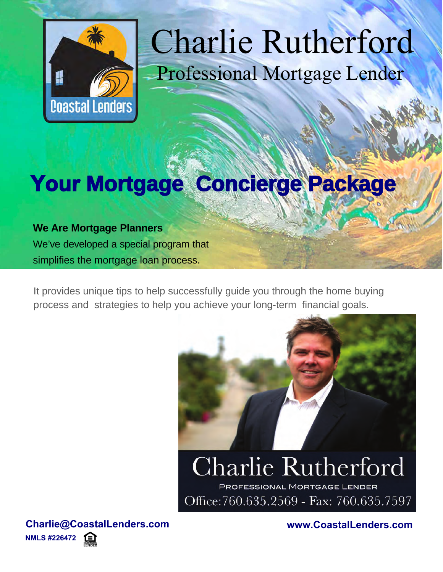

# Charlie Rutherford Professional Mortgage Lender

# **Your Mortgage Concierge Package**

### **We Are Mortgage Planners**

We've developed a special program that simplifies the mortgage loan process.

It provides unique tips to help successfully guide you through the home buying process and strategies to help you achieve your long-term financial goals.



# **Charlie Rutherford** PROFESSIONAL MORTGAGE LENDER Office: 760.635.2569 - Fax: 760.635.7597

**Charlie@CoastalLenders.com www.CoastalLenders.com NMLS #226472**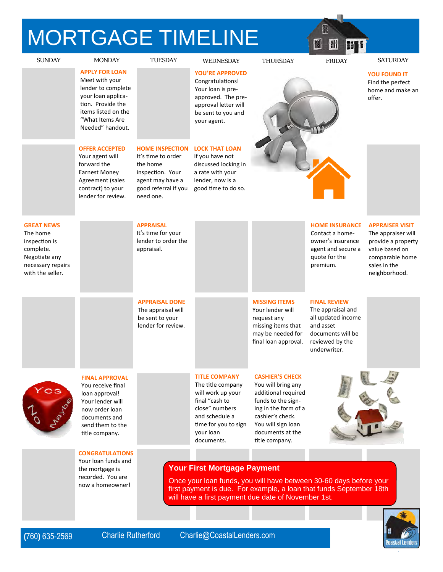# MORTGAGE TIMELINE



**(**760**)** 635-2569 Charlie Rutherford Charlie@CoastalLenders.com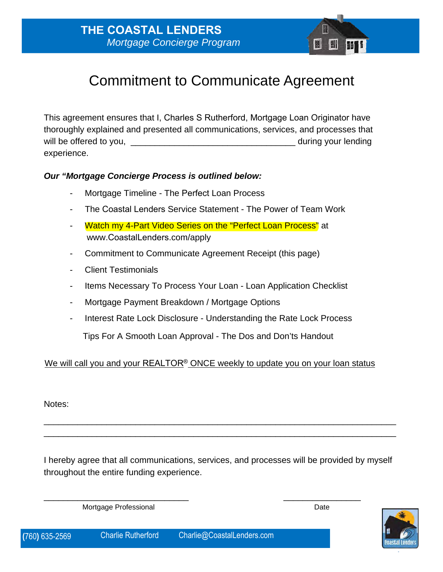

This agreement ensures that I, Charles S Rutherford, Mortgage Loan Originator have thoroughly explained and presented all communications, services, and processes that will be offered to you, \_\_\_\_\_\_\_\_\_\_\_\_\_\_\_\_\_\_\_\_\_\_\_\_\_\_\_\_\_\_\_\_\_\_ during your lending experience.

### *Our "Mortgage Concierge Process is outlined below:*

- Mortgage Timeline The Perfect Loan Process
- The Coastal Lenders Service Statement The Power of Team Work
- Watch my 4-Part Video Series on the "Perfect Loan Process" at www.CoastalLenders.com/apply
- Commitment to Communicate Agreement Receipt (this page)
- **Client Testimonials**
- Items Necessary To Process Your Loan Loan Application Checklist
- Mortgage Payment Breakdown / Mortgage Options
- Interest Rate Lock Disclosure Understanding the Rate Lock Process

Tips For A Smooth Loan Approval - The Dos and Don'ts Handout

### We will call you and your REALTOR<sup>®</sup> ONCE weekly to update you on your loan status

Notes:

I hereby agree that all communications, services, and processes will be provided by myself throughout the entire funding experience.

\_\_\_\_\_\_\_\_\_\_\_\_\_\_\_\_\_\_\_\_\_\_\_\_\_\_\_\_\_\_ \_\_\_\_\_\_\_\_\_\_\_\_\_\_\_\_

\_\_\_\_\_\_\_\_\_\_\_\_\_\_\_\_\_\_\_\_\_\_\_\_\_\_\_\_\_\_\_\_\_\_\_\_\_\_\_\_\_\_\_\_\_\_\_\_\_\_\_\_\_\_\_\_\_\_\_\_\_\_\_\_\_\_\_\_\_\_\_\_\_ \_\_\_\_\_\_\_\_\_\_\_\_\_\_\_\_\_\_\_\_\_\_\_\_\_\_\_\_\_\_\_\_\_\_\_\_\_\_\_\_\_\_\_\_\_\_\_\_\_\_\_\_\_\_\_\_\_\_\_\_\_\_\_\_\_\_\_\_\_\_\_\_\_

Mortgage Professional and the control of the Date Date

H

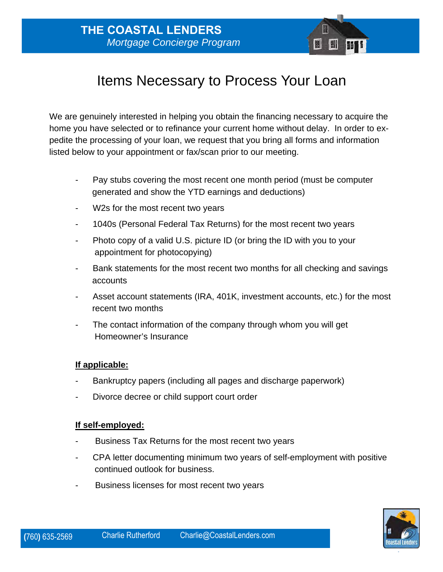

# Items Necessary to Process Your Loan

We are genuinely interested in helping you obtain the financing necessary to acquire the home you have selected or to refinance your current home without delay. In order to expedite the processing of your loan, we request that you bring all forms and information listed below to your appointment or fax/scan prior to our meeting.

- Pay stubs covering the most recent one month period (must be computer generated and show the YTD earnings and deductions)
- W2s for the most recent two years
- 1040s (Personal Federal Tax Returns) for the most recent two years
- Photo copy of a valid U.S. picture ID (or bring the ID with you to your appointment for photocopying)
- Bank statements for the most recent two months for all checking and savings accounts
- Asset account statements (IRA, 401K, investment accounts, etc.) for the most recent two months
- The contact information of the company through whom you will get Homeowner's Insurance

### **If applicable:**

- Bankruptcy papers (including all pages and discharge paperwork)
- Divorce decree or child support court order

### **If self-employed:**

- Business Tax Returns for the most recent two years
- CPA letter documenting minimum two years of self-employment with positive continued outlook for business.
- Business licenses for most recent two years

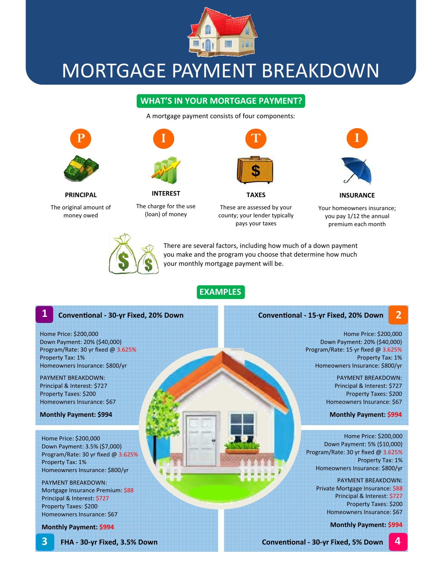

# MORTGAGE PAYMENT BREAKDOWN

### **WHAT%S IN YOUR MORTGAGE PAYMENT?**

A mortgage payment consists of four components:



**PRINCIPAL**

The original amount of money owed



The charge for the use (loan) of money

**INTEREST**

**I** 



**TAXES** These are assessed by your county; your lender typically

pays your taxes



**INSURANCE**

Your homeowners insurance; you pay 1/12 the annual premium each month



### **EXAMPLES**

## 1 Conventional - 30-yr Fixed, 20% Down Conventional - 15-yr Fixed, 20% Down 2

Home Price: \$200,000 Down Payment: 20% (\$40,000) Program/Rate: 30 yr fixed @ 3.625% Property Tax: 1% Homeowners Insurance: \$800/yr

PAYMENT BREAKDOWN: Principal & Interest: \$727 Property Taxes: \$200 Homeowners Insurance: \$67

#### **Monthly Payment: \$994**

Home Price: \$200,000 Down Payment: 3.5% (\$7,000) Program/Rate: 30 yr fixed  $@$  3.625% Property Tax: 1% Homeowners Insurance: \$800/yr

PAYMENT BREAKDOWN: Mortgage Insurance Premium: \$88 Principal & Interest: \$727 Property Taxes: \$200 Homeowners Insurance: \$67

**Monthly Payment: \$994**



Home Price: \$200,000 Down Payment: 20% (\$40,000) Program/Rate: 15 yr fixed @ 3.625% Property Tax: 1% Homeowners Insurance: \$800/yr

> PAYMENT BREAKDOWN: Principal & Interest: \$727 Property Taxes: \$200 Homeowners Insurance: \$67

#### **Monthly Payment: \$994**

Home Price: \$200,000 Down Payment: 5% (\$10,000) Program/Rate: 30 yr fixed @ 3.625% Property Tax: 1% Homeowners Insurance: \$800/yr

> PAYMENT BREAKDOWN: Private Mortgage Insurance: \$88 Principal & Interest: \$727 Property Taxes: \$200 Homeowners Insurance: \$67

> > **Monthly Payment: \$994**

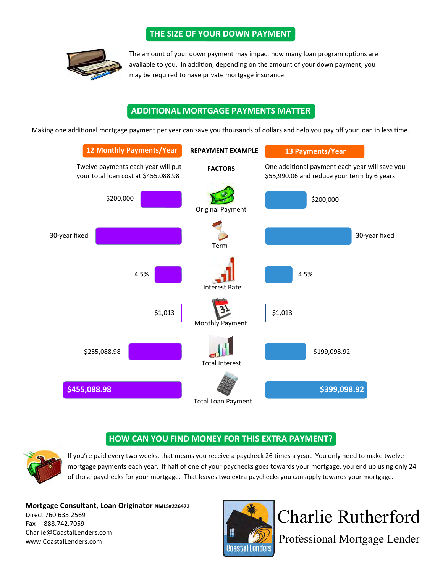### **THE SIZE OF YOUR DOWN PAYMENT**



The amount of your down payment may impact how many loan program options are available to you. In addition, depending on the amount of your down payment, you may be required to have private mortgage insurance.

### **ADDITIONAL MORTGAGE PAYMENTS MATTER**

Making one additional mortgage payment per year can save you thousands of dollars and help you pay off your loan in less time.



### **HOW CAN YOU FIND MONEY FOR THIS EXTRA PAYMENT?**



If you're paid every two weeks, that means you receive a paycheck 26 times a year. You only need to make twelve mortgage payments each year. If half of one of your paychecks goes towards your mortgage, you end up using only 24 of those paychecks for your mortgage. That leaves two extra paychecks you can apply towards your mortgage.

**Mortgage Consultant, Loan Originator NMLS#226472** Direct 760.635.2569 Fax 888.742.7059 Charlie@CoastalLenders.com www.CoastalLenders.com



Charlie Rutherford

Professional Mortgage Lender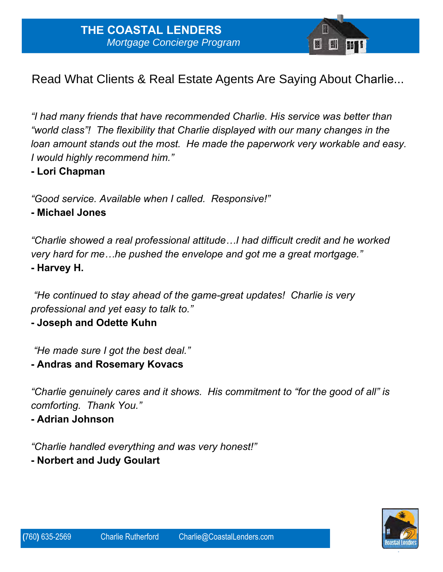Read What Clients & Real Estate Agents Are Saying About Charlie...

H

*"I had many friends that have recommended Charlie. His service was better than "world class"! The flexibility that Charlie displayed with our many changes in the loan amount stands out the most. He made the paperwork very workable and easy. I would highly recommend him."*

**- Lori Chapman**

*"Good service. Available when I called. Responsive!"*

**- Michael Jones**

*"Charlie showed a real professional attitude…I had difficult credit and he worked very hard for me…he pushed the envelope and got me a great mortgage."* **- Harvey H.**

 *"He continued to stay ahead of the game-great updates! Charlie is very professional and yet easy to talk to."*

## **- Joseph and Odette Kuhn**

 *"He made sure I got the best deal."*

## **- Andras and Rosemary Kovacs**

*"Charlie genuinely cares and it shows. His commitment to "for the good of all" is comforting. Thank You."*

### **- Adrian Johnson**

*"Charlie handled everything and was very honest!"*

**- Norbert and Judy Goulart**

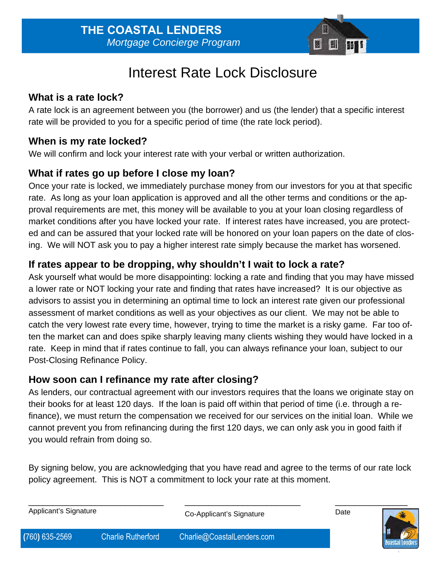

# Interest Rate Lock Disclosure

### **What is a rate lock?**

A rate lock is an agreement between you (the borrower) and us (the lender) that a specific interest rate will be provided to you for a specific period of time (the rate lock period).

### **When is my rate locked?**

We will confirm and lock your interest rate with your verbal or written authorization.

### **What if rates go up before I close my loan?**

Once your rate is locked, we immediately purchase money from our investors for you at that specific rate. As long as your loan application is approved and all the other terms and conditions or the approval requirements are met, this money will be available to you at your loan closing regardless of market conditions after you have locked your rate. If interest rates have increased, you are protected and can be assured that your locked rate will be honored on your loan papers on the date of closing. We will NOT ask you to pay a higher interest rate simply because the market has worsened.

## **If rates appear to be dropping, why shouldn't I wait to lock a rate?**

Ask yourself what would be more disappointing: locking a rate and finding that you may have missed a lower rate or NOT locking your rate and finding that rates have increased? It is our objective as advisors to assist you in determining an optimal time to lock an interest rate given our professional assessment of market conditions as well as your objectives as our client. We may not be able to catch the very lowest rate every time, however, trying to time the market is a risky game. Far too often the market can and does spike sharply leaving many clients wishing they would have locked in a rate. Keep in mind that if rates continue to fall, you can always refinance your loan, subject to our Post-Closing Refinance Policy.

### **How soon can I refinance my rate after closing?**

As lenders, our contractual agreement with our investors requires that the loans we originate stay on their books for at least 120 days. If the loan is paid off within that period of time (i.e. through a refinance), we must return the compensation we received for our services on the initial loan. While we cannot prevent you from refinancing during the first 120 days, we can only ask you in good faith if you would refrain from doing so.

By signing below, you are acknowledging that you have read and agree to the terms of our rate lock policy agreement. This is NOT a commitment to lock your rate at this moment.

| Applicant's Signature |                           | Co-Applicant's Signature   |  | Date |  |
|-----------------------|---------------------------|----------------------------|--|------|--|
| (760) 635-2569        | <b>Charlie Rutherford</b> | Charlie@CoastalLenders.com |  |      |  |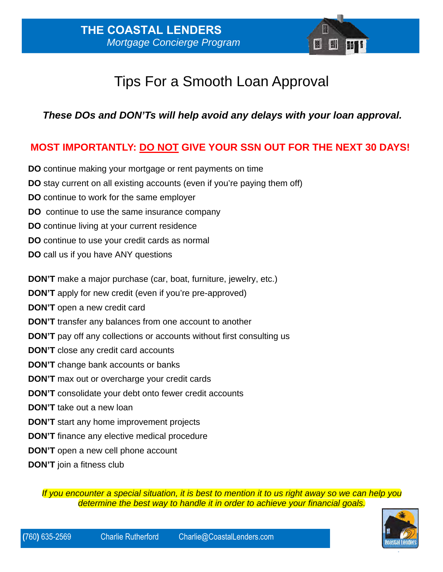

# Tips For a Smooth Loan Approval

### *These DOs and DON'Ts will help avoid any delays with your loan approval.*

### **MOST IMPORTANTLY: DO NOT GIVE YOUR SSN OUT FOR THE NEXT 30 DAYS!**

- **DO** continue making your mortgage or rent payments on time
- **DO** stay current on all existing accounts (even if you're paying them off)
- **DO** continue to work for the same employer
- **DO** continue to use the same insurance company
- **DO** continue living at your current residence
- **DO** continue to use your credit cards as normal
- **DO** call us if you have ANY questions

**DON'T** make a major purchase (car, boat, furniture, jewelry, etc.)

- **DON'T** apply for new credit (even if you're pre-approved)
- **DON'T** open a new credit card
- **DON'T** transfer any balances from one account to another
- **DON'T** pay off any collections or accounts without first consulting us
- **DON'T** close any credit card accounts
- **DON'T** change bank accounts or banks
- **DON'T** max out or overcharge your credit cards
- **DON'T** consolidate your debt onto fewer credit accounts
- **DON'T** take out a new loan
- **DON'T** start any home improvement projects
- **DON'T** finance any elective medical procedure
- **DON'T** open a new cell phone account
- **DON'T** join a fitness club

*If you encounter a special situation, it is best to mention it to us right away so we can help you determine the best way to handle it in order to achieve your financial goals.* 

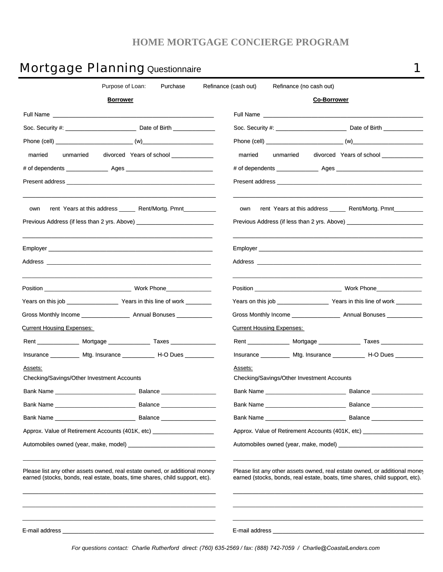### **HOME MORTGAGE CONCIERGE PROGRAM**

| Mortgage Planning Questionnaire                                                                                                                            |                                                                          |                                                                       |                                            |                                                                                                                                                            |  |
|------------------------------------------------------------------------------------------------------------------------------------------------------------|--------------------------------------------------------------------------|-----------------------------------------------------------------------|--------------------------------------------|------------------------------------------------------------------------------------------------------------------------------------------------------------|--|
|                                                                                                                                                            | Purpose of Loan: Purchase   Refinance (cash out) Refinance (no cash out) |                                                                       |                                            |                                                                                                                                                            |  |
| <b>Borrower</b>                                                                                                                                            |                                                                          |                                                                       | <b>Co-Borrower</b>                         |                                                                                                                                                            |  |
|                                                                                                                                                            |                                                                          |                                                                       |                                            |                                                                                                                                                            |  |
|                                                                                                                                                            |                                                                          |                                                                       |                                            |                                                                                                                                                            |  |
|                                                                                                                                                            |                                                                          |                                                                       |                                            |                                                                                                                                                            |  |
| □ married □ unmarried □ divorced Years of school ____________                                                                                              | □ married □ unmarried □ divorced Years of school __________              |                                                                       |                                            |                                                                                                                                                            |  |
|                                                                                                                                                            |                                                                          |                                                                       |                                            |                                                                                                                                                            |  |
|                                                                                                                                                            |                                                                          |                                                                       |                                            |                                                                                                                                                            |  |
| □ own □ rent Years at this address _______ Rent/Mortg. Pmnt__________                                                                                      |                                                                          |                                                                       |                                            | own rent Years at this address _____ Rent/Mortg. Pmnt________                                                                                              |  |
| Previous Address (if less than 2 yrs. Above) ___________________________________                                                                           |                                                                          |                                                                       |                                            | Previous Address (if less than 2 yrs. Above) ___________________________________                                                                           |  |
|                                                                                                                                                            |                                                                          |                                                                       |                                            |                                                                                                                                                            |  |
|                                                                                                                                                            |                                                                          |                                                                       |                                            |                                                                                                                                                            |  |
|                                                                                                                                                            |                                                                          |                                                                       |                                            |                                                                                                                                                            |  |
|                                                                                                                                                            |                                                                          |                                                                       |                                            |                                                                                                                                                            |  |
|                                                                                                                                                            |                                                                          |                                                                       |                                            |                                                                                                                                                            |  |
| <b>Current Housing Expenses:</b>                                                                                                                           |                                                                          | <b>Current Housing Expenses:</b>                                      |                                            |                                                                                                                                                            |  |
| Rent _________________ Mortgage __________________ Taxes _______________________                                                                           |                                                                          |                                                                       |                                            | Rent _________________ Mortgage __________________ Taxes ________________                                                                                  |  |
| Insurance ____________ Mtg. Insurance ______________ H-O Dues _________                                                                                    |                                                                          |                                                                       |                                            | Insurance ____________ Mtg. Insurance ______________ H-O Dues __________                                                                                   |  |
| Assets:<br>Checking/Savings/Other Investment Accounts                                                                                                      |                                                                          | Assets:                                                               | Checking/Savings/Other Investment Accounts |                                                                                                                                                            |  |
| Bank Name ______________________________                                                                                                                   | Balance _____________________                                            |                                                                       | Bank Name _______________________________  | <b>Balance Example 1999</b>                                                                                                                                |  |
|                                                                                                                                                            |                                                                          |                                                                       |                                            |                                                                                                                                                            |  |
|                                                                                                                                                            |                                                                          |                                                                       |                                            |                                                                                                                                                            |  |
| Approx. Value of Retirement Accounts (401K, etc) _____________________                                                                                     |                                                                          | Approx. Value of Retirement Accounts (401K, etc) ____________________ |                                            |                                                                                                                                                            |  |
|                                                                                                                                                            |                                                                          |                                                                       |                                            |                                                                                                                                                            |  |
| Please list any other assets owned, real estate owned, or additional money<br>earned (stocks, bonds, real estate, boats, time shares, child support, etc). |                                                                          |                                                                       |                                            | Please list any other assets owned, real estate owned, or additional money<br>earned (stocks, bonds, real estate, boats, time shares, child support, etc). |  |
| E-mail address _______________                                                                                                                             |                                                                          | E-mail address _______________                                        |                                            |                                                                                                                                                            |  |

*For questions contact: Charlie Rutherford direct: (760) 635-2569 / fax: (888) 742-7059 / Charlie@CoastalLenders.com*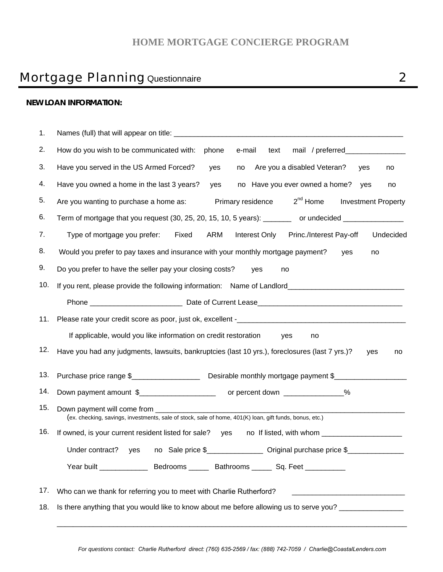### **HOME MORTGAGE CONCIERGE PROGRAM**

## Mortgage Planning Questionnaire **2** 2 **NEW LOAN INFORMATION:**  1. 2. 3. 4. 5. 6. 7. 8. 9. 10. If you rent, please provide the following information: Name of Landlord\_\_\_\_\_\_\_\_\_\_\_\_\_\_\_\_\_\_\_\_\_\_\_\_\_ 11. Please rate your credit score as poor, just ok, excellent -\_\_\_\_\_\_\_\_\_\_\_\_\_\_\_\_\_\_\_\_\_\_\_\_\_\_\_\_\_\_\_\_\_\_\_\_\_\_\_\_\_\_ 12. Have you had any judgments, lawsuits, bankruptcies (last 10 yrs.), foreclosures (last 7 yrs.)?  $\Box$ yes  $\Box$ no 13. Purchase price range \$\_\_\_\_\_\_\_\_\_\_\_\_\_\_\_\_\_\_\_\_\_\_\_\_\_Desirable monthly mortgage payment \$\_\_\_\_\_\_\_\_\_\_\_\_\_\_\_\_\_\_\_\_\_\_\_ 14. Down payment amount \$\_\_\_\_\_\_\_\_\_\_\_\_\_\_\_\_\_\_\_ or percent down \_\_\_\_\_\_\_\_\_\_\_\_\_\_\_% 15. Down payment will come from \_\_\_\_\_\_\_\_\_\_\_\_\_\_\_\_\_\_\_\_\_\_\_\_\_\_\_\_\_\_\_\_\_\_\_\_\_\_\_\_\_\_\_\_\_\_\_\_\_\_\_\_\_\_\_\_\_\_\_\_\_\_ 16. If owned, is your current resident listed for sale? yes no If listed, with whom \_\_\_\_\_\_\_\_\_\_\_\_\_\_\_\_ 17. Who can we thank for referring you to meet with Charlie Rutherford? \_\_\_\_\_\_\_\_\_\_\_\_\_\_\_\_\_\_\_\_\_\_\_\_\_\_\_\_ Names (full) that will appear on title: How do you wish to be communicated with: **phone**  $\Box$  e-mail  $\Box$  text  $\Box$  mail / preferred Have you served in the US Armed Forced?  $\Box$  yes  $\Box$  ho Are you a disabled Veteran?  $\Box$  yes  $\Box$  no Have you owned a home in the last 3 years?  $\Box$  yes  $\Box$  no Have you ever owned a home?  $\Box$  yes  $\Box$  no Are you wanting to purchase a home as:  $\Box$ Primary residence  $\Box$ 2<sup>nd</sup> Home  $\Box$ Investment Property Term of mortgage that you request (30, 25, 20, 15, 10, 5 years): \_\_\_\_\_\_\_\_ or undecided \_\_\_\_\_\_\_\_\_\_\_\_ Type of mortgage you prefer: FixedARMInterest Only Princ./Interest Pay-offUndecided Would you prefer to pay taxes and insurance with your monthly mortgage payment?  $\Box$  yes  $\Box$  no Do you prefer to have the seller pay your closing costs?  $\Box$  yes  $\Box$  no Phone \_\_\_\_\_\_\_\_\_\_\_\_\_\_\_\_\_\_\_\_\_\_\_ Date of Current Lease\_\_\_\_\_\_\_\_\_\_\_\_\_\_\_\_\_\_\_\_\_\_\_\_\_\_\_\_\_\_\_\_\_\_\_\_ If applicable, would you like information on credit restoration  $\Box$  yes  $\Box$  no (ex. checking, savings, investments, sale of stock, sale of home, 401(K) loan, gift funds, bonus, etc.) Under contract? yes no Sale price \$\_\_\_\_\_\_\_\_\_\_\_\_\_\_ Original purchase price \$\_\_\_\_\_\_\_\_\_\_\_\_\_\_ Year built \_\_\_\_\_\_\_\_\_\_\_\_\_\_\_\_ Bedrooms \_\_\_\_\_\_ Bathrooms \_\_\_\_\_\_ Sq. Feet \_\_\_\_\_\_\_\_\_\_

18. Is there anything that you would like to know about me before allowing us to serve you? \_\_\_\_\_\_\_\_\_\_\_\_\_\_

\_\_\_\_\_\_\_\_\_\_\_\_\_\_\_\_\_\_\_\_\_\_\_\_\_\_\_\_\_\_\_\_\_\_\_\_\_\_\_\_\_\_\_\_\_\_\_\_\_\_\_\_\_\_\_\_\_\_\_\_\_\_\_\_\_\_\_\_\_\_\_\_\_\_\_\_\_\_\_\_\_\_\_\_\_\_\_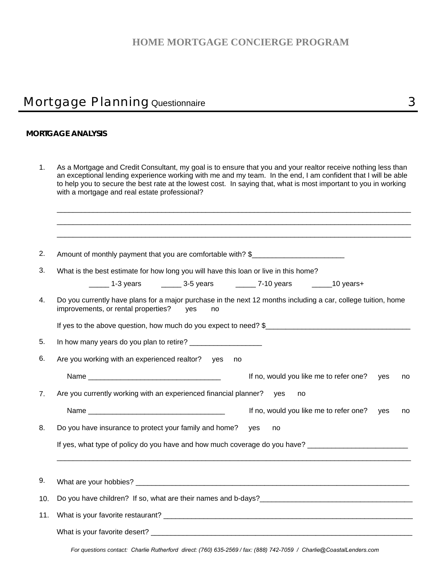### **HOME MORTGAGE CONCIERGE PROGRAM**

# Mortgage Planning Questionnaire 3

#### **MORTGAGE ANALYSIS**

| 1.             | As a Mortgage and Credit Consultant, my goal is to ensure that you and your realtor receive nothing less than<br>an exceptional lending experience working with me and my team. In the end, I am confident that I will be able<br>to help you to secure the best rate at the lowest cost. In saying that, what is most important to you in working<br>with a mortgage and real estate professional? |  |  |  |  |  |  |
|----------------|-----------------------------------------------------------------------------------------------------------------------------------------------------------------------------------------------------------------------------------------------------------------------------------------------------------------------------------------------------------------------------------------------------|--|--|--|--|--|--|
|                |                                                                                                                                                                                                                                                                                                                                                                                                     |  |  |  |  |  |  |
| 2.             | Amount of monthly payment that you are comfortable with? \$                                                                                                                                                                                                                                                                                                                                         |  |  |  |  |  |  |
| 3.             | What is the best estimate for how long you will have this loan or live in this home?                                                                                                                                                                                                                                                                                                                |  |  |  |  |  |  |
|                | 1-3 years 1-3 years 1.5 years 1.5 years 1.5 years 10 years +                                                                                                                                                                                                                                                                                                                                        |  |  |  |  |  |  |
| 4.             | Do you currently have plans for a major purchase in the next 12 months including a car, college tuition, home<br>improvements, or rental properties? nyes no                                                                                                                                                                                                                                        |  |  |  |  |  |  |
|                | If yes to the above question, how much do you expect to need? \$                                                                                                                                                                                                                                                                                                                                    |  |  |  |  |  |  |
| 5.             | In how many years do you plan to retire? _____________________                                                                                                                                                                                                                                                                                                                                      |  |  |  |  |  |  |
| 6.             | Are you working with an experienced realtor? $\sqrt{\phantom{a}}$ yes $\sqrt{\phantom{a}}$ ho                                                                                                                                                                                                                                                                                                       |  |  |  |  |  |  |
|                | If no, would you like me to refer one? $\Box$ yes $\Box$ no                                                                                                                                                                                                                                                                                                                                         |  |  |  |  |  |  |
| 7 <sub>1</sub> | Are you currently working with an experienced financial planner? $\Box$ yes $\Box$ no                                                                                                                                                                                                                                                                                                               |  |  |  |  |  |  |
|                | If no, would you like me to refer one? $\Box$ yes $\Box$ no                                                                                                                                                                                                                                                                                                                                         |  |  |  |  |  |  |
| 8.             | Do you have insurance to protect your family and home? $\Box$ yes $\Box$ ho                                                                                                                                                                                                                                                                                                                         |  |  |  |  |  |  |
|                | If yes, what type of policy do you have and how much coverage do you have?                                                                                                                                                                                                                                                                                                                          |  |  |  |  |  |  |
| 9.             |                                                                                                                                                                                                                                                                                                                                                                                                     |  |  |  |  |  |  |
|                |                                                                                                                                                                                                                                                                                                                                                                                                     |  |  |  |  |  |  |
| 10.            | Do you have children? If so, what are their names and b-days?<br>The same streamed and the same streamed and the streamed and the streamed and the streamed and the streamed a                                                                                                                                                                                                                      |  |  |  |  |  |  |
| 11.            |                                                                                                                                                                                                                                                                                                                                                                                                     |  |  |  |  |  |  |
|                | What is your favorite desert?                                                                                                                                                                                                                                                                                                                                                                       |  |  |  |  |  |  |

*For questions contact: Charlie Rutherford direct: (760) 635-2569 / fax: (888) 742-7059 / Charlie@CoastalLenders.com*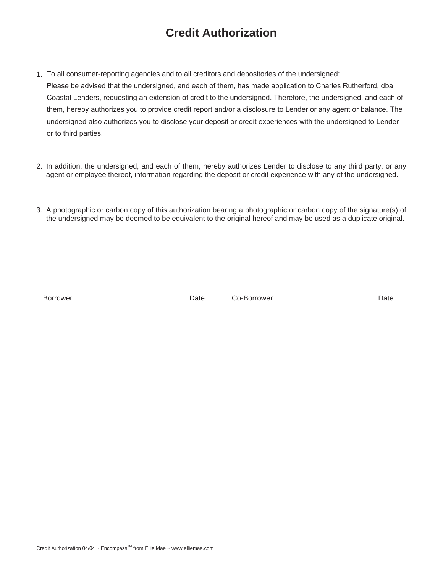# **Credit Authorization**

- 1. To all consumer-reporting agencies and to all creditors and depositories of the undersigned: Please be advised that the undersigned, and each of them, has made application to Charles Rutherford, dba Coastal Lenders, requesting an extension of credit to the undersigned. Therefore, the undersigned, and each of them, hereby authorizes you to provide credit report and/or a disclosure to Lender or any agent or balance. The undersigned also authorizes you to disclose your deposit or credit experiences with the undersigned to Lender or to third parties.
- 2. In addition, the undersigned, and each of them, hereby authorizes Lender to disclose to any third party, or any agent or employee thereof, information regarding the deposit or credit experience with any of the undersigned.
- 3. A photographic or carbon copy of this authorization bearing a photographic or carbon copy of the signature(s) of the undersigned may be deemed to be equivalent to the original hereof and may be used as a duplicate original.

Borrower **Date** Date Co-Borrower **Date** Communications Date